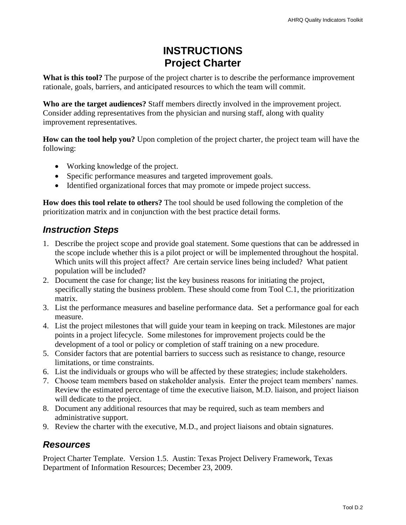# **INSTRUCTIONS Project Charter**

**What is this tool?** The purpose of the project charter is to describe the performance improvement rationale, goals, barriers, and anticipated resources to which the team will commit.

**Who are the target audiences?** Staff members directly involved in the improvement project. Consider adding representatives from the physician and nursing staff, along with quality improvement representatives.

**How can the tool help you?** Upon completion of the project charter, the project team will have the following:

- Working knowledge of the project.
- Specific performance measures and targeted improvement goals.
- Identified organizational forces that may promote or impede project success.

**How does this tool relate to others?** The tool should be used following the completion of the prioritization matrix and in conjunction with the best practice detail forms.

## *Instruction Steps*

- 1. Describe the project scope and provide goal statement. Some questions that can be addressed in the scope include whether this is a pilot project or will be implemented throughout the hospital. Which units will this project affect? Are certain service lines being included? What patient population will be included?
- 2. Document the case for change; list the key business reasons for initiating the project, specifically stating the business problem. These should come from Tool C.1, the prioritization matrix.
- 3. List the performance measures and baseline performance data. Set a performance goal for each measure.
- 4. List the project milestones that will guide your team in keeping on track. Milestones are major points in a project lifecycle. Some milestones for improvement projects could be the development of a tool or policy or completion of staff training on a new procedure.
- 5. Consider factors that are potential barriers to success such as resistance to change, resource limitations, or time constraints.
- 6. List the individuals or groups who will be affected by these strategies; include stakeholders.
- 7. Choose team members based on stakeholder analysis. Enter the project team members' names. Review the estimated percentage of time the executive liaison, M.D. liaison, and project liaison will dedicate to the project.
- 8. Document any additional resources that may be required, such as team members and administrative support.
- 9. Review the charter with the executive, M.D., and project liaisons and obtain signatures.

## *Resources*

Project Charter Template. Version 1.5. Austin: Texas Project Delivery Framework, Texas Department of Information Resources; December 23, 2009.